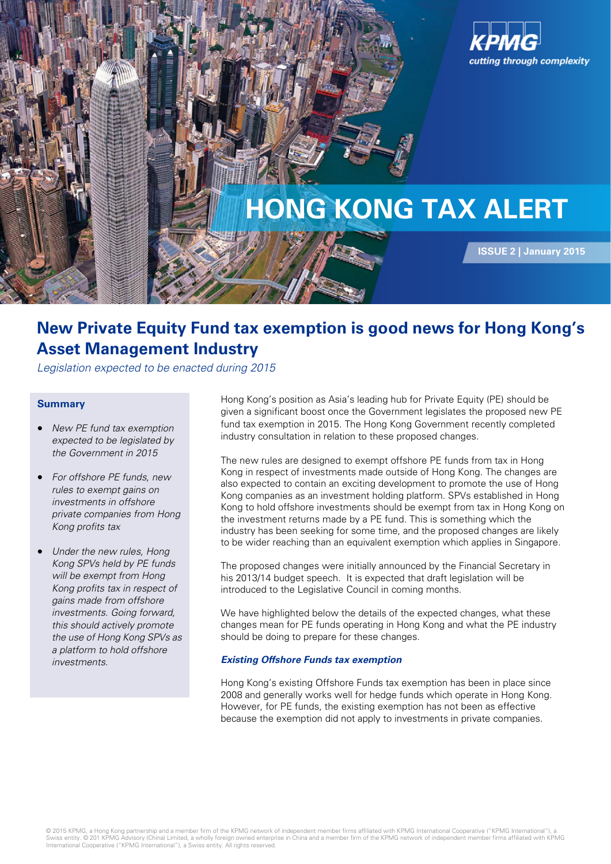

# **New Private Equity Fund tax exemption is good news for Hong Kong's Asset Management Industry**

Legislation expected to be enacted during 2015

## **Summary**

- New PE fund tax exemption expected to be legislated by the Government in 2015
- For offshore PE funds, new rules to exempt gains on investments in offshore private companies from Hong Kong profits tax
- Under the new rules, Hong Kong SPVs held by PE funds will be exempt from Hong Kong profits tax in respect of gains made from offshore investments. Going forward, this should actively promote the use of Hong Kong SPVs as a platform to hold offshore investments.

Hong Kong's position as Asia's leading hub for Private Equity (PE) should be given a significant boost once the Government legislates the proposed new PE fund tax exemption in 2015. The Hong Kong Government recently completed industry consultation in relation to these proposed changes.

The new rules are designed to exempt offshore PE funds from tax in Hong Kong in respect of investments made outside of Hong Kong. The changes are also expected to contain an exciting development to promote the use of Hong Kong companies as an investment holding platform. SPVs established in Hong Kong to hold offshore investments should be exempt from tax in Hong Kong on the investment returns made by a PE fund. This is something which the industry has been seeking for some time, and the proposed changes are likely to be wider reaching than an equivalent exemption which applies in Singapore.

The proposed changes were initially announced by the Financial Secretary in his 2013/14 budget speech. It is expected that draft legislation will be introduced to the Legislative Council in coming months.

We have highlighted below the details of the expected changes, what these changes mean for PE funds operating in Hong Kong and what the PE industry should be doing to prepare for these changes.

#### **Existing Offshore Funds tax exemption**

Hong Kong's existing Offshore Funds tax exemption has been in place since 2008 and generally works well for hedge funds which operate in Hong Kong. However, for PE funds, the existing exemption has not been as effective because the exemption did not apply to investments in private companies.

© 2015 KPMG, a Hong Kong partnership and a member firm of the KPMG network of independent member firms affiliated with KPMG International Cooperative ("KPMG International"), a<br>Swiss entity. © 201 KPMG Advisory (China) Limi International Cooperative ("KPMG International"), a Swiss entity. All rights reserved.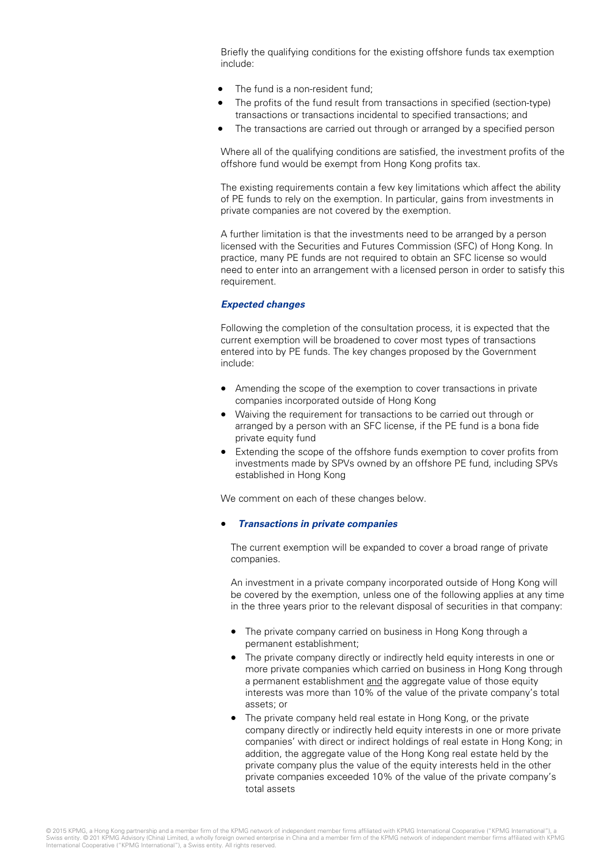Briefly the qualifying conditions for the existing offshore funds tax exemption include:

- The fund is a non-resident fund:
- The profits of the fund result from transactions in specified (section-type) transactions or transactions incidental to specified transactions; and
- The transactions are carried out through or arranged by a specified person

Where all of the qualifying conditions are satisfied, the investment profits of the offshore fund would be exempt from Hong Kong profits tax.

The existing requirements contain a few key limitations which affect the ability of PE funds to rely on the exemption. In particular, gains from investments in private companies are not covered by the exemption.

A further limitation is that the investments need to be arranged by a person licensed with the Securities and Futures Commission (SFC) of Hong Kong. In practice, many PE funds are not required to obtain an SFC license so would need to enter into an arrangement with a licensed person in order to satisfy this requirement.

#### **Expected changes**

Following the completion of the consultation process, it is expected that the current exemption will be broadened to cover most types of transactions entered into by PE funds. The key changes proposed by the Government include:

- Amending the scope of the exemption to cover transactions in private companies incorporated outside of Hong Kong
- Waiving the requirement for transactions to be carried out through or arranged by a person with an SFC license, if the PE fund is a bona fide private equity fund
- Extending the scope of the offshore funds exemption to cover profits from investments made by SPVs owned by an offshore PE fund, including SPVs established in Hong Kong

We comment on each of these changes below.

#### • **Transactions in private companies**

The current exemption will be expanded to cover a broad range of private companies.

An investment in a private company incorporated outside of Hong Kong will be covered by the exemption, unless one of the following applies at any time in the three years prior to the relevant disposal of securities in that company:

- The private company carried on business in Hong Kong through a permanent establishment;
- The private company directly or indirectly held equity interests in one or more private companies which carried on business in Hong Kong through a permanent establishment and the aggregate value of those equity interests was more than 10% of the value of the private company's total assets; or
- The private company held real estate in Hong Kong, or the private company directly or indirectly held equity interests in one or more private companies' with direct or indirect holdings of real estate in Hong Kong; in addition, the aggregate value of the Hong Kong real estate held by the private company plus the value of the equity interests held in the other private companies exceeded 10% of the value of the private company's total assets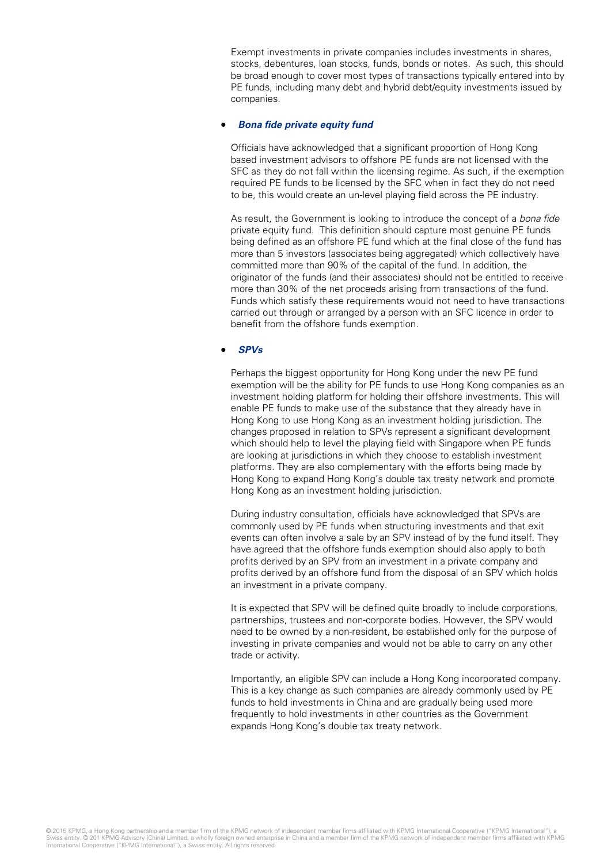Exempt investments in private companies includes investments in shares, stocks, debentures, loan stocks, funds, bonds or notes. As such, this should be broad enough to cover most types of transactions typically entered into by PE funds, including many debt and hybrid debt/equity investments issued by companies.

#### • **Bona fide private equity fund**

Officials have acknowledged that a significant proportion of Hong Kong based investment advisors to offshore PE funds are not licensed with the SFC as they do not fall within the licensing regime. As such, if the exemption required PE funds to be licensed by the SFC when in fact they do not need to be, this would create an un-level playing field across the PE industry.

As result, the Government is looking to introduce the concept of a bona fide private equity fund. This definition should capture most genuine PE funds being defined as an offshore PE fund which at the final close of the fund has more than 5 investors (associates being aggregated) which collectively have committed more than 90% of the capital of the fund. In addition, the originator of the funds (and their associates) should not be entitled to receive more than 30% of the net proceeds arising from transactions of the fund. Funds which satisfy these requirements would not need to have transactions carried out through or arranged by a person with an SFC licence in order to benefit from the offshore funds exemption.

## • **SPVs**

Perhaps the biggest opportunity for Hong Kong under the new PE fund exemption will be the ability for PE funds to use Hong Kong companies as an investment holding platform for holding their offshore investments. This will enable PE funds to make use of the substance that they already have in Hong Kong to use Hong Kong as an investment holding jurisdiction. The changes proposed in relation to SPVs represent a significant development which should help to level the playing field with Singapore when PE funds are looking at jurisdictions in which they choose to establish investment platforms. They are also complementary with the efforts being made by Hong Kong to expand Hong Kong's double tax treaty network and promote Hong Kong as an investment holding jurisdiction.

During industry consultation, officials have acknowledged that SPVs are commonly used by PE funds when structuring investments and that exit events can often involve a sale by an SPV instead of by the fund itself. They have agreed that the offshore funds exemption should also apply to both profits derived by an SPV from an investment in a private company and profits derived by an offshore fund from the disposal of an SPV which holds an investment in a private company.

It is expected that SPV will be defined quite broadly to include corporations, partnerships, trustees and non-corporate bodies. However, the SPV would need to be owned by a non-resident, be established only for the purpose of investing in private companies and would not be able to carry on any other trade or activity.

Importantly, an eligible SPV can include a Hong Kong incorporated company. This is a key change as such companies are already commonly used by PE funds to hold investments in China and are gradually being used more frequently to hold investments in other countries as the Government expands Hong Kong's double tax treaty network.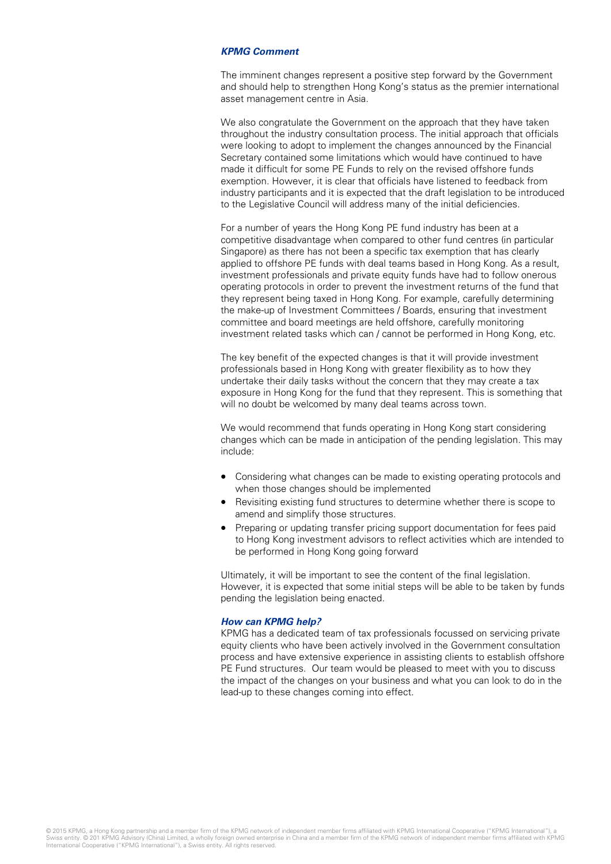### **KPMG Comment**

The imminent changes represent a positive step forward by the Government and should help to strengthen Hong Kong's status as the premier international asset management centre in Asia.

We also congratulate the Government on the approach that they have taken throughout the industry consultation process. The initial approach that officials were looking to adopt to implement the changes announced by the Financial Secretary contained some limitations which would have continued to have made it difficult for some PE Funds to rely on the revised offshore funds exemption. However, it is clear that officials have listened to feedback from industry participants and it is expected that the draft legislation to be introduced to the Legislative Council will address many of the initial deficiencies.

For a number of years the Hong Kong PE fund industry has been at a competitive disadvantage when compared to other fund centres (in particular Singapore) as there has not been a specific tax exemption that has clearly applied to offshore PE funds with deal teams based in Hong Kong. As a result, investment professionals and private equity funds have had to follow onerous operating protocols in order to prevent the investment returns of the fund that they represent being taxed in Hong Kong. For example, carefully determining the make-up of Investment Committees / Boards, ensuring that investment committee and board meetings are held offshore, carefully monitoring investment related tasks which can / cannot be performed in Hong Kong, etc.

The key benefit of the expected changes is that it will provide investment professionals based in Hong Kong with greater flexibility as to how they undertake their daily tasks without the concern that they may create a tax exposure in Hong Kong for the fund that they represent. This is something that will no doubt be welcomed by many deal teams across town.

We would recommend that funds operating in Hong Kong start considering changes which can be made in anticipation of the pending legislation. This may include:

- Considering what changes can be made to existing operating protocols and when those changes should be implemented
- Revisiting existing fund structures to determine whether there is scope to amend and simplify those structures.
- Preparing or updating transfer pricing support documentation for fees paid to Hong Kong investment advisors to reflect activities which are intended to be performed in Hong Kong going forward

Ultimately, it will be important to see the content of the final legislation. However, it is expected that some initial steps will be able to be taken by funds pending the legislation being enacted.

#### **How can KPMG help?**

KPMG has a dedicated team of tax professionals focussed on servicing private equity clients who have been actively involved in the Government consultation process and have extensive experience in assisting clients to establish offshore PE Fund structures. Our team would be pleased to meet with you to discuss the impact of the changes on your business and what you can look to do in the lead-up to these changes coming into effect.